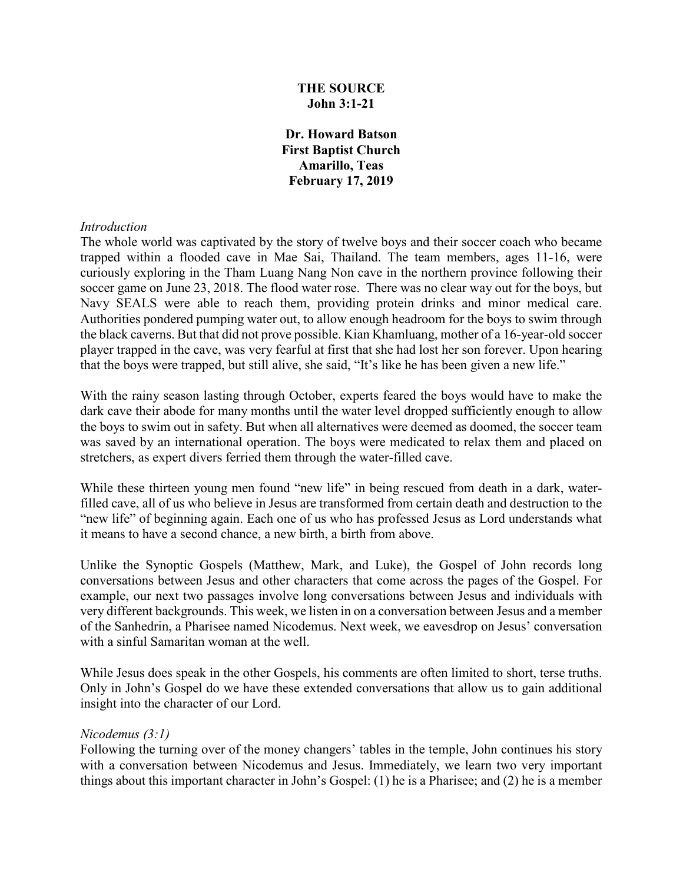### **THE SOURCE John 3:1-21**

**Dr. Howard Batson First Baptist Church Amarillo, Teas February 17, 2019**

#### *Introduction*

The whole world was captivated by the story of twelve boys and their soccer coach who became trapped within a flooded cave in Mae Sai, Thailand. The team members, ages 11-16, were curiously exploring in the Tham Luang Nang Non cave in the northern province following their soccer game on June 23, 2018. The flood water rose. There was no clear way out for the boys, but Navy SEALS were able to reach them, providing protein drinks and minor medical care. Authorities pondered pumping water out, to allow enough headroom for the boys to swim through the black caverns. But that did not prove possible. Kian Khamluang, mother of a 16-year-old soccer player trapped in the cave, was very fearful at first that she had lost her son forever. Upon hearing that the boys were trapped, but still alive, she said, "It's like he has been given a new life."

With the rainy season lasting through October, experts feared the boys would have to make the dark cave their abode for many months until the water level dropped sufficiently enough to allow the boys to swim out in safety. But when all alternatives were deemed as doomed, the soccer team was saved by an international operation. The boys were medicated to relax them and placed on stretchers, as expert divers ferried them through the water-filled cave.

While these thirteen young men found "new life" in being rescued from death in a dark, waterfilled cave, all of us who believe in Jesus are transformed from certain death and destruction to the "new life" of beginning again. Each one of us who has professed Jesus as Lord understands what it means to have a second chance, a new birth, a birth from above.

Unlike the Synoptic Gospels (Matthew, Mark, and Luke), the Gospel of John records long conversations between Jesus and other characters that come across the pages of the Gospel. For example, our next two passages involve long conversations between Jesus and individuals with very different backgrounds. This week, we listen in on a conversation between Jesus and a member of the Sanhedrin, a Pharisee named Nicodemus. Next week, we eavesdrop on Jesus' conversation with a sinful Samaritan woman at the well.

While Jesus does speak in the other Gospels, his comments are often limited to short, terse truths. Only in John's Gospel do we have these extended conversations that allow us to gain additional insight into the character of our Lord.

#### *Nicodemus (3:1)*

Following the turning over of the money changers' tables in the temple, John continues his story with a conversation between Nicodemus and Jesus. Immediately, we learn two very important things about this important character in John's Gospel: (1) he is a Pharisee; and (2) he is a member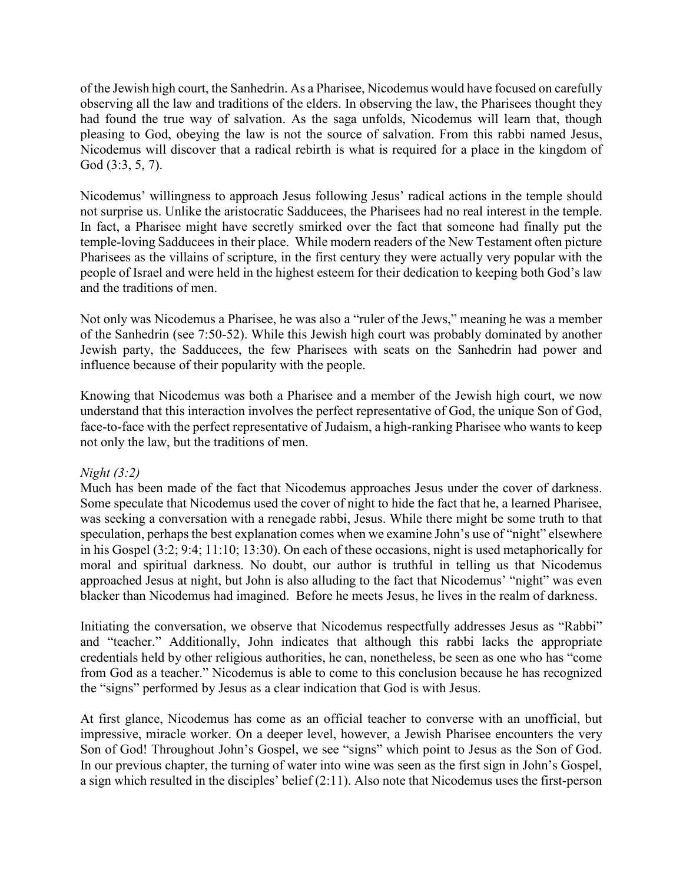of the Jewish high court, the Sanhedrin. As a Pharisee, Nicodemus would have focused on carefully observing all the law and traditions of the elders. In observing the law, the Pharisees thought they had found the true way of salvation. As the saga unfolds, Nicodemus will learn that, though pleasing to God, obeying the law is not the source of salvation. From this rabbi named Jesus, Nicodemus will discover that a radical rebirth is what is required for a place in the kingdom of God (3:3, 5, 7).

Nicodemus' willingness to approach Jesus following Jesus' radical actions in the temple should not surprise us. Unlike the aristocratic Sadducees, the Pharisees had no real interest in the temple. In fact, a Pharisee might have secretly smirked over the fact that someone had finally put the temple-loving Sadducees in their place. While modern readers of the New Testament often picture Pharisees as the villains of scripture, in the first century they were actually very popular with the people of Israel and were held in the highest esteem for their dedication to keeping both God's law and the traditions of men.

Not only was Nicodemus a Pharisee, he was also a "ruler of the Jews," meaning he was a member of the Sanhedrin (see 7:50-52). While this Jewish high court was probably dominated by another Jewish party, the Sadducees, the few Pharisees with seats on the Sanhedrin had power and influence because of their popularity with the people.

Knowing that Nicodemus was both a Pharisee and a member of the Jewish high court, we now understand that this interaction involves the perfect representative of God, the unique Son of God, face-to-face with the perfect representative of Judaism, a high-ranking Pharisee who wants to keep not only the law, but the traditions of men.

# *Night (3:2)*

Much has been made of the fact that Nicodemus approaches Jesus under the cover of darkness. Some speculate that Nicodemus used the cover of night to hide the fact that he, a learned Pharisee, was seeking a conversation with a renegade rabbi, Jesus. While there might be some truth to that speculation, perhaps the best explanation comes when we examine John's use of "night" elsewhere in his Gospel (3:2; 9:4; 11:10; 13:30). On each of these occasions, night is used metaphorically for moral and spiritual darkness. No doubt, our author is truthful in telling us that Nicodemus approached Jesus at night, but John is also alluding to the fact that Nicodemus' "night" was even blacker than Nicodemus had imagined. Before he meets Jesus, he lives in the realm of darkness.

Initiating the conversation, we observe that Nicodemus respectfully addresses Jesus as "Rabbi" and "teacher." Additionally, John indicates that although this rabbi lacks the appropriate credentials held by other religious authorities, he can, nonetheless, be seen as one who has "come from God as a teacher." Nicodemus is able to come to this conclusion because he has recognized the "signs" performed by Jesus as a clear indication that God is with Jesus.

At first glance, Nicodemus has come as an official teacher to converse with an unofficial, but impressive, miracle worker. On a deeper level, however, a Jewish Pharisee encounters the very Son of God! Throughout John's Gospel, we see "signs" which point to Jesus as the Son of God. In our previous chapter, the turning of water into wine was seen as the first sign in John's Gospel, a sign which resulted in the disciples' belief (2:11). Also note that Nicodemus uses the first-person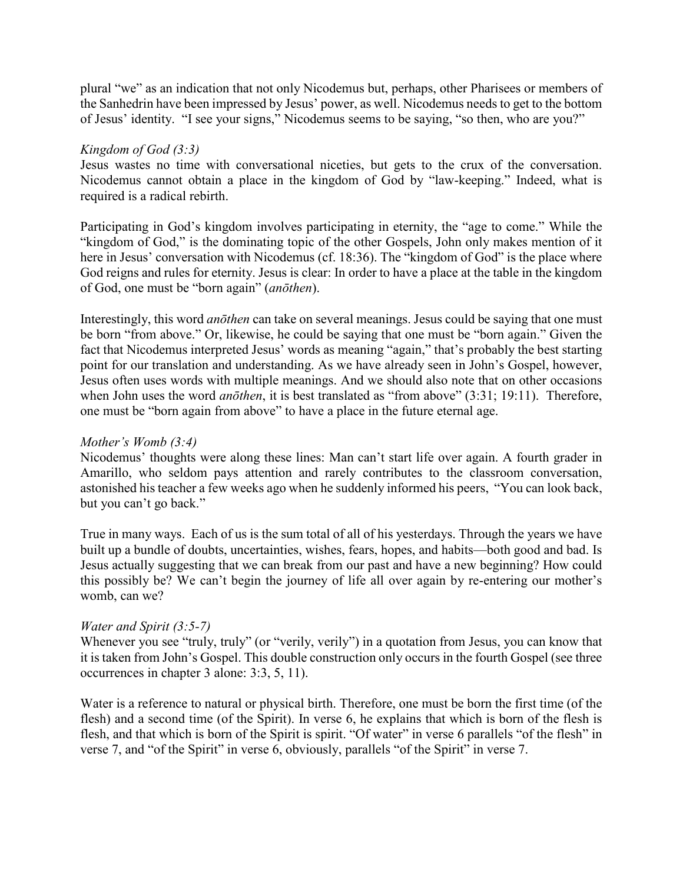plural "we" as an indication that not only Nicodemus but, perhaps, other Pharisees or members of the Sanhedrin have been impressed by Jesus' power, as well. Nicodemus needs to get to the bottom of Jesus' identity. "I see your signs," Nicodemus seems to be saying, "so then, who are you?"

#### *Kingdom of God (3:3)*

Jesus wastes no time with conversational niceties, but gets to the crux of the conversation. Nicodemus cannot obtain a place in the kingdom of God by "law-keeping." Indeed, what is required is a radical rebirth.

Participating in God's kingdom involves participating in eternity, the "age to come." While the "kingdom of God," is the dominating topic of the other Gospels, John only makes mention of it here in Jesus' conversation with Nicodemus (cf. 18:36). The "kingdom of God" is the place where God reigns and rules for eternity. Jesus is clear: In order to have a place at the table in the kingdom of God, one must be "born again" (*anōthen*).

Interestingly, this word *anōthen* can take on several meanings. Jesus could be saying that one must be born "from above." Or, likewise, he could be saying that one must be "born again." Given the fact that Nicodemus interpreted Jesus' words as meaning "again," that's probably the best starting point for our translation and understanding. As we have already seen in John's Gospel, however, Jesus often uses words with multiple meanings. And we should also note that on other occasions when John uses the word *anōthen*, it is best translated as "from above" (3:31; 19:11). Therefore, one must be "born again from above" to have a place in the future eternal age.

#### *Mother's Womb (3:4)*

Nicodemus' thoughts were along these lines: Man can't start life over again. A fourth grader in Amarillo, who seldom pays attention and rarely contributes to the classroom conversation, astonished his teacher a few weeks ago when he suddenly informed his peers, "You can look back, but you can't go back."

True in many ways. Each of us is the sum total of all of his yesterdays. Through the years we have built up a bundle of doubts, uncertainties, wishes, fears, hopes, and habits—both good and bad. Is Jesus actually suggesting that we can break from our past and have a new beginning? How could this possibly be? We can't begin the journey of life all over again by re-entering our mother's womb, can we?

### *Water and Spirit (3:5-7)*

Whenever you see "truly, truly" (or "verily, verily") in a quotation from Jesus, you can know that it is taken from John's Gospel. This double construction only occurs in the fourth Gospel (see three occurrences in chapter 3 alone: 3:3, 5, 11).

Water is a reference to natural or physical birth. Therefore, one must be born the first time (of the flesh) and a second time (of the Spirit). In verse 6, he explains that which is born of the flesh is flesh, and that which is born of the Spirit is spirit. "Of water" in verse 6 parallels "of the flesh" in verse 7, and "of the Spirit" in verse 6, obviously, parallels "of the Spirit" in verse 7.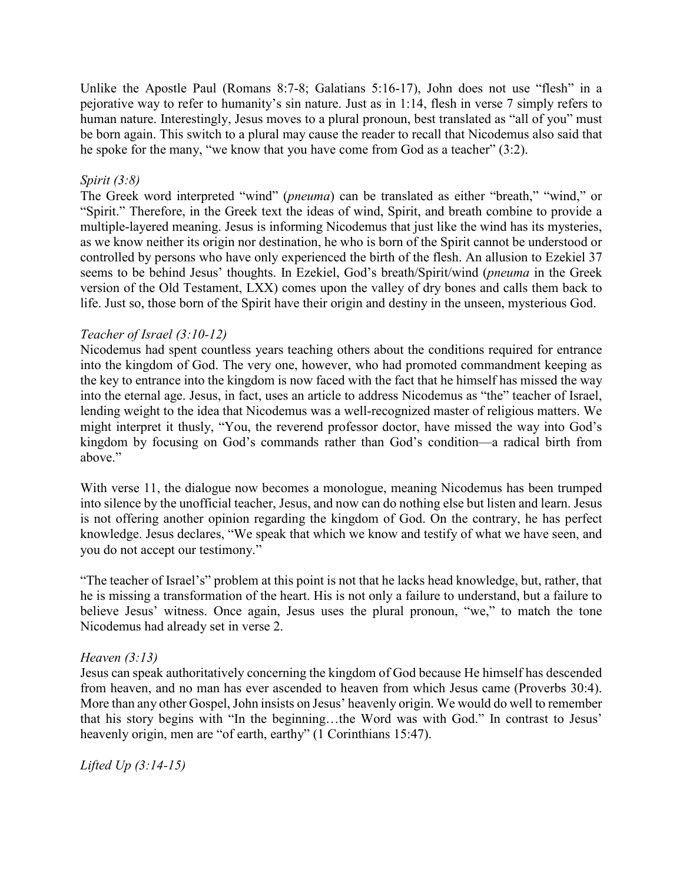Unlike the Apostle Paul (Romans 8:7-8; Galatians 5:16-17), John does not use "flesh" in a pejorative way to refer to humanity's sin nature. Just as in 1:14, flesh in verse 7 simply refers to human nature. Interestingly, Jesus moves to a plural pronoun, best translated as "all of you" must be born again. This switch to a plural may cause the reader to recall that Nicodemus also said that he spoke for the many, "we know that you have come from God as a teacher" (3:2).

### *Spirit (3:8)*

The Greek word interpreted "wind" (*pneuma*) can be translated as either "breath," "wind," or "Spirit." Therefore, in the Greek text the ideas of wind, Spirit, and breath combine to provide a multiple-layered meaning. Jesus is informing Nicodemus that just like the wind has its mysteries, as we know neither its origin nor destination, he who is born of the Spirit cannot be understood or controlled by persons who have only experienced the birth of the flesh. An allusion to Ezekiel 37 seems to be behind Jesus' thoughts. In Ezekiel, God's breath/Spirit/wind (*pneuma* in the Greek version of the Old Testament, LXX) comes upon the valley of dry bones and calls them back to life. Just so, those born of the Spirit have their origin and destiny in the unseen, mysterious God.

## *Teacher of Israel (3:10-12)*

Nicodemus had spent countless years teaching others about the conditions required for entrance into the kingdom of God. The very one, however, who had promoted commandment keeping as the key to entrance into the kingdom is now faced with the fact that he himself has missed the way into the eternal age. Jesus, in fact, uses an article to address Nicodemus as "the" teacher of Israel, lending weight to the idea that Nicodemus was a well-recognized master of religious matters. We might interpret it thusly, "You, the reverend professor doctor, have missed the way into God's kingdom by focusing on God's commands rather than God's condition—a radical birth from above."

With verse 11, the dialogue now becomes a monologue, meaning Nicodemus has been trumped into silence by the unofficial teacher, Jesus, and now can do nothing else but listen and learn. Jesus is not offering another opinion regarding the kingdom of God. On the contrary, he has perfect knowledge. Jesus declares, "We speak that which we know and testify of what we have seen, and you do not accept our testimony."

"The teacher of Israel's" problem at this point is not that he lacks head knowledge, but, rather, that he is missing a transformation of the heart. His is not only a failure to understand, but a failure to believe Jesus' witness. Once again, Jesus uses the plural pronoun, "we," to match the tone Nicodemus had already set in verse 2.

### *Heaven (3:13)*

Jesus can speak authoritatively concerning the kingdom of God because He himself has descended from heaven, and no man has ever ascended to heaven from which Jesus came (Proverbs 30:4). More than any other Gospel, John insists on Jesus' heavenly origin. We would do well to remember that his story begins with "In the beginning…the Word was with God." In contrast to Jesus' heavenly origin, men are "of earth, earthy" (1 Corinthians 15:47).

*Lifted Up (3:14-15)*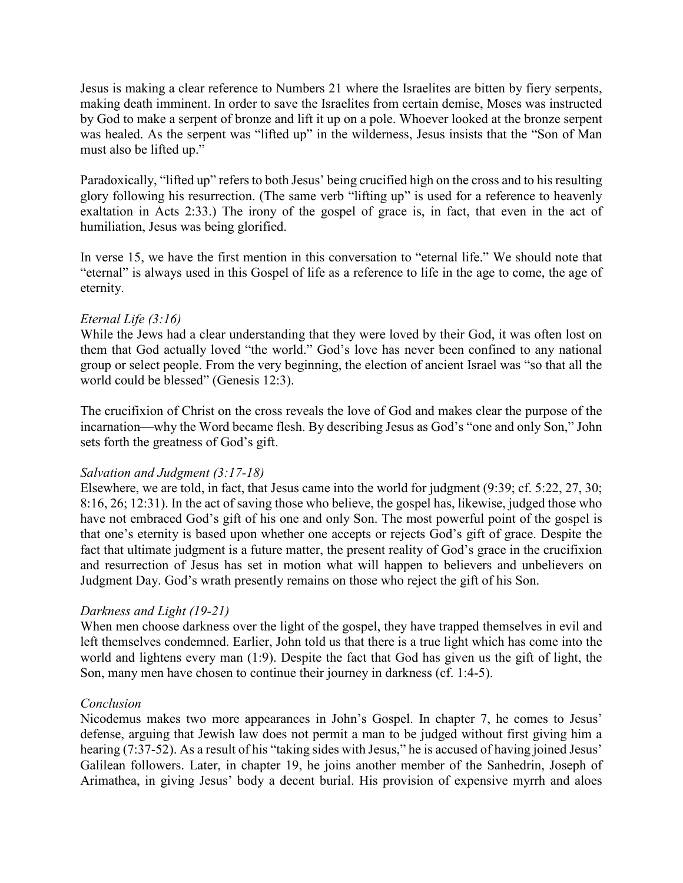Jesus is making a clear reference to Numbers 21 where the Israelites are bitten by fiery serpents, making death imminent. In order to save the Israelites from certain demise, Moses was instructed by God to make a serpent of bronze and lift it up on a pole. Whoever looked at the bronze serpent was healed. As the serpent was "lifted up" in the wilderness, Jesus insists that the "Son of Man must also be lifted up."

Paradoxically, "lifted up" refers to both Jesus' being crucified high on the cross and to his resulting glory following his resurrection. (The same verb "lifting up" is used for a reference to heavenly exaltation in Acts 2:33.) The irony of the gospel of grace is, in fact, that even in the act of humiliation, Jesus was being glorified.

In verse 15, we have the first mention in this conversation to "eternal life." We should note that "eternal" is always used in this Gospel of life as a reference to life in the age to come, the age of eternity.

### *Eternal Life (3:16)*

While the Jews had a clear understanding that they were loved by their God, it was often lost on them that God actually loved "the world." God's love has never been confined to any national group or select people. From the very beginning, the election of ancient Israel was "so that all the world could be blessed" (Genesis 12:3).

The crucifixion of Christ on the cross reveals the love of God and makes clear the purpose of the incarnation—why the Word became flesh. By describing Jesus as God's "one and only Son," John sets forth the greatness of God's gift.

### *Salvation and Judgment (3:17-18)*

Elsewhere, we are told, in fact, that Jesus came into the world for judgment (9:39; cf. 5:22, 27, 30; 8:16, 26; 12:31). In the act of saving those who believe, the gospel has, likewise, judged those who have not embraced God's gift of his one and only Son. The most powerful point of the gospel is that one's eternity is based upon whether one accepts or rejects God's gift of grace. Despite the fact that ultimate judgment is a future matter, the present reality of God's grace in the crucifixion and resurrection of Jesus has set in motion what will happen to believers and unbelievers on Judgment Day. God's wrath presently remains on those who reject the gift of his Son.

### *Darkness and Light (19-21)*

When men choose darkness over the light of the gospel, they have trapped themselves in evil and left themselves condemned. Earlier, John told us that there is a true light which has come into the world and lightens every man (1:9). Despite the fact that God has given us the gift of light, the Son, many men have chosen to continue their journey in darkness (cf. 1:4-5).

### *Conclusion*

Nicodemus makes two more appearances in John's Gospel. In chapter 7, he comes to Jesus' defense, arguing that Jewish law does not permit a man to be judged without first giving him a hearing (7:37-52). As a result of his "taking sides with Jesus," he is accused of having joined Jesus' Galilean followers. Later, in chapter 19, he joins another member of the Sanhedrin, Joseph of Arimathea, in giving Jesus' body a decent burial. His provision of expensive myrrh and aloes